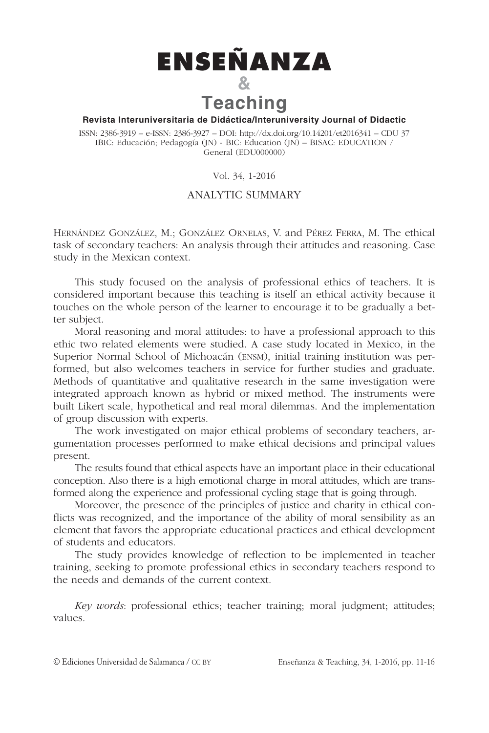

## **Revista Interuniversitaria de Didáctica/Interuniversity Journal of Didactic**

ISSN: 2386-3919 – e-ISSN: 2386-3927 – DOI: http://dx.doi.org/10.14201/et2016341 – CDU 37 IBIC: Educación; Pedagogía (JN) - BIC: Education (JN) – BISAC: EDUCATION / General (EDU000000)

Vol. 34, 1-2016

## ANALYTIC SUMMARY

HERNÁNDEZ GONZÁLEZ, M.; GONZÁLEZ ORNELAS, V. and PÉREZ FERRA, M. The ethical task of secondary teachers: An analysis through their attitudes and reasoning. Case study in the Mexican context.

This study focused on the analysis of professional ethics of teachers. It is considered important because this teaching is itself an ethical activity because it touches on the whole person of the learner to encourage it to be gradually a better subject.

Moral reasoning and moral attitudes: to have a professional approach to this ethic two related elements were studied. A case study located in Mexico, in the Superior Normal School of Michoacán (ENSM), initial training institution was performed, but also welcomes teachers in service for further studies and graduate. Methods of quantitative and qualitative research in the same investigation were integrated approach known as hybrid or mixed method. The instruments were built Likert scale, hypothetical and real moral dilemmas. And the implementation of group discussion with experts.

The work investigated on major ethical problems of secondary teachers, argumentation processes performed to make ethical decisions and principal values present.

The results found that ethical aspects have an important place in their educational conception. Also there is a high emotional charge in moral attitudes, which are transformed along the experience and professional cycling stage that is going through.

Moreover, the presence of the principles of justice and charity in ethical conflicts was recognized, and the importance of the ability of moral sensibility as an element that favors the appropriate educational practices and ethical development of students and educators.

The study provides knowledge of reflection to be implemented in teacher training, seeking to promote professional ethics in secondary teachers respond to the needs and demands of the current context.

Key words: professional ethics; teacher training; moral judgment; attitudes; values.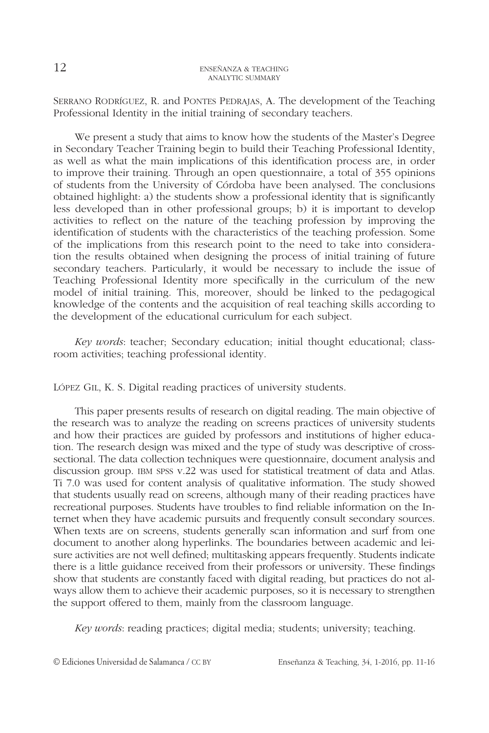SERRANO RODRÍGUEZ, R. and PONTES PEDRAJAS, A. The development of the Teaching Professional Identity in the initial training of secondary teachers.

We present a study that aims to know how the students of the Master's Degree in Secondary Teacher Training begin to build their Teaching Professional Identity, as well as what the main implications of this identification process are, in order to improve their training. Through an open questionnaire, a total of 355 opinions of students from the University of Córdoba have been analysed. The conclusions obtained highlight: a) the students show a professional identity that is significantly less developed than in other professional groups; b) it is important to develop activities to reflect on the nature of the teaching profession by improving the identification of students with the characteristics of the teaching profession. Some of the implications from this research point to the need to take into consideration the results obtained when designing the process of initial training of future secondary teachers. Particularly, it would be necessary to include the issue of Teaching Professional Identity more specifically in the curriculum of the new model of initial training. This, moreover, should be linked to the pedagogical knowledge of the contents and the acquisition of real teaching skills according to the development of the educational curriculum for each subject.

Key words: teacher; Secondary education; initial thought educational; classroom activities; teaching professional identity.

LÓPEZ GIL, K. S. Digital reading practices of university students.

This paper presents results of research on digital reading. The main objective of the research was to analyze the reading on screens practices of university students and how their practices are guided by professors and institutions of higher education. The research design was mixed and the type of study was descriptive of crosssectional. The data collection techniques were questionnaire, document analysis and discussion group. IBM SPSS v.22 was used for statistical treatment of data and Atlas. Ti 7.0 was used for content analysis of qualitative information. The study showed that students usually read on screens, although many of their reading practices have recreational purposes. Students have troubles to find reliable information on the Internet when they have academic pursuits and frequently consult secondary sources. When texts are on screens, students generally scan information and surf from one document to another along hyperlinks. The boundaries between academic and leisure activities are not well defined; multitasking appears frequently. Students indicate there is a little guidance received from their professors or university. These findings show that students are constantly faced with digital reading, but practices do not always allow them to achieve their academic purposes, so it is necessary to strengthen the support offered to them, mainly from the classroom language.

Key words: reading practices; digital media; students; university; teaching.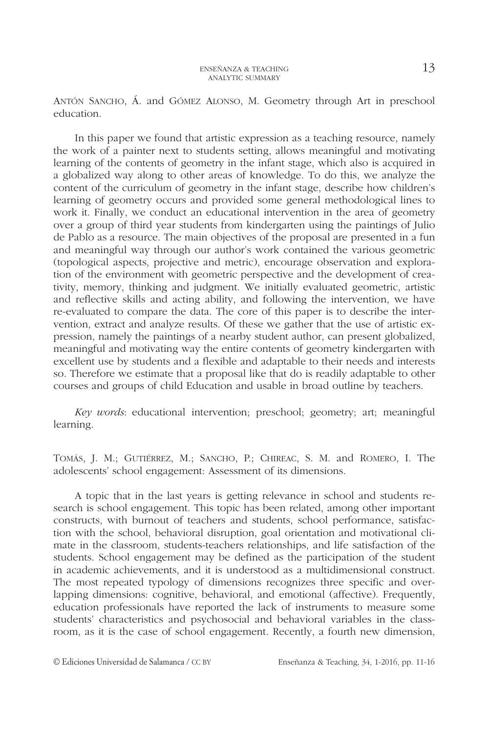ANTÓN SANCHO, Á. and GÓMEZ ALONSO, M. Geometry through Art in preschool education.

In this paper we found that artistic expression as a teaching resource, namely the work of a painter next to students setting, allows meaningful and motivating learning of the contents of geometry in the infant stage, which also is acquired in a globalized way along to other areas of knowledge. To do this, we analyze the content of the curriculum of geometry in the infant stage, describe how children's learning of geometry occurs and provided some general methodological lines to work it. Finally, we conduct an educational intervention in the area of geometry over a group of third year students from kindergarten using the paintings of Julio de Pablo as a resource. The main objectives of the proposal are presented in a fun and meaningful way through our author's work contained the various geometric (topological aspects, projective and metric), encourage observation and exploration of the environment with geometric perspective and the development of creativity, memory, thinking and judgment. We initially evaluated geometric, artistic and reflective skills and acting ability, and following the intervention, we have re-evaluated to compare the data. The core of this paper is to describe the intervention, extract and analyze results. Of these we gather that the use of artistic expression, namely the paintings of a nearby student author, can present globalized, meaningful and motivating way the entire contents of geometry kindergarten with excellent use by students and a flexible and adaptable to their needs and interests so. Therefore we estimate that a proposal like that do is readily adaptable to other courses and groups of child Education and usable in broad outline by teachers.

Key words: educational intervention; preschool; geometry; art; meaningful learning.

TOMÁS, J. M.; GUTIÉRREZ, M.; SANCHO, P.; CHIREAC, S. M. and ROMERO, I. The adolescents' school engagement: Assessment of its dimensions.

A topic that in the last years is getting relevance in school and students research is school engagement. This topic has been related, among other important constructs, with burnout of teachers and students, school performance, satisfaction with the school, behavioral disruption, goal orientation and motivational climate in the classroom, students-teachers relationships, and life satisfaction of the students. School engagement may be defined as the participation of the student in academic achievements, and it is understood as a multidimensional construct. The most repeated typology of dimensions recognizes three specific and overlapping dimensions: cognitive, behavioral, and emotional (affective). Frequently, education professionals have reported the lack of instruments to measure some students' characteristics and psychosocial and behavioral variables in the classroom, as it is the case of school engagement. Recently, a fourth new dimension,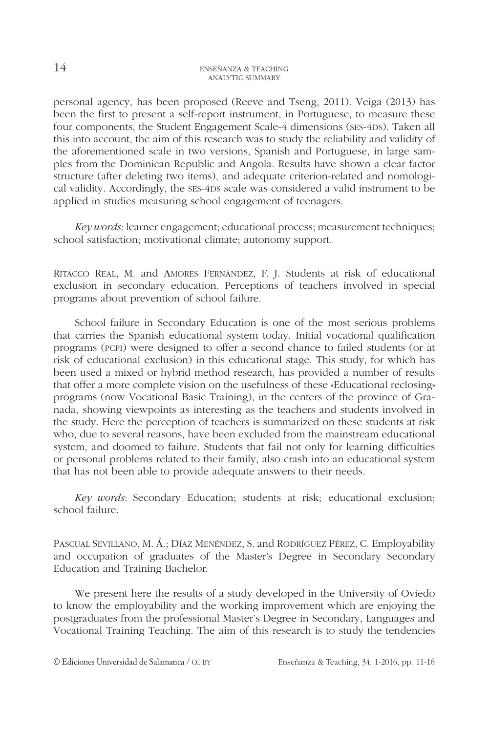personal agency, has been proposed (Reeve and Tseng, 2011). Veiga (2013) has been the first to present a self-report instrument, in Portuguese, to measure these four components, the Student Engagement Scale-4 dimensions (SES-4DS). Taken all this into account, the aim of this research was to study the reliability and validity of the aforementioned scale in two versions, Spanish and Portuguese, in large samples from the Dominican Republic and Angola. Results have shown a clear factor structure (after deleting two items), and adequate criterion-related and nomological validity. Accordingly, the SES-4DS scale was considered a valid instrument to be applied in studies measuring school engagement of teenagers.

Key words: learner engagement; educational process; measurement techniques; school satisfaction; motivational climate; autonomy support.

RITACCO REAL, M. and AMORES FERNÁNDEZ, F. J. Students at risk of educational exclusion in secondary education. Perceptions of teachers involved in special programs about prevention of school failure.

School failure in Secondary Education is one of the most serious problems that carries the Spanish educational system today. Initial vocational qualification programs (PCPI) were designed to offer a second chance to failed students (or at risk of educational exclusion) in this educational stage. This study, for which has been used a mixed or hybrid method research, has provided a number of results that offer a more complete vision on the usefulness of these «Educational reclosing» programs (now Vocational Basic Training), in the centers of the province of Granada, showing viewpoints as interesting as the teachers and students involved in the study. Here the perception of teachers is summarized on these students at risk who, due to several reasons, have been excluded from the mainstream educational system, and doomed to failure. Students that fail not only for learning difficulties or personal problems related to their family, also crash into an educational system that has not been able to provide adequate answers to their needs.

Key words: Secondary Education; students at risk; educational exclusion; school failure.

PASCUAL SEVILLANO, M. Á.; DÍAZ MENÉNDEZ, S. and RODRÍGUEZ PÉREZ, C. Employability and occupation of graduates of the Master's Degree in Secondary Secondary Education and Training Bachelor.

We present here the results of a study developed in the University of Oviedo to know the employability and the working improvement which are enjoying the postgraduates from the professional Master's Degree in Secondary, Languages and Vocational Training Teaching. The aim of this research is to study the tendencies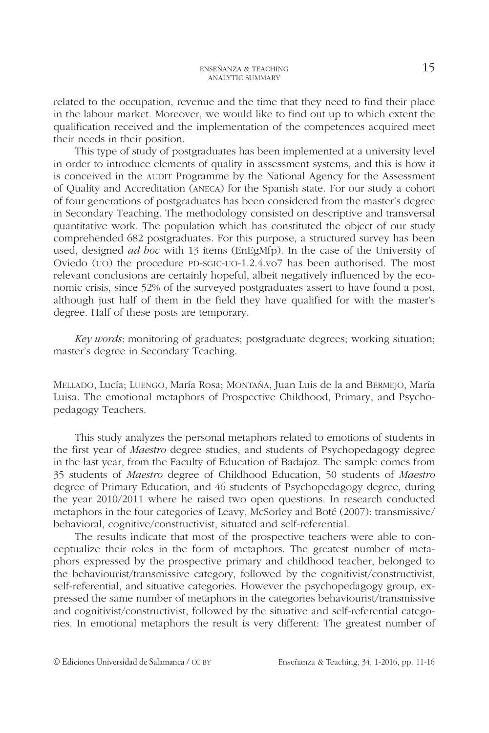related to the occupation, revenue and the time that they need to find their place in the labour market. Moreover, we would like to find out up to which extent the qualification received and the implementation of the competences acquired meet their needs in their position.

This type of study of postgraduates has been implemented at a university level in order to introduce elements of quality in assessment systems, and this is how it is conceived in the AUDIT Programme by the National Agency for the Assessment of Quality and Accreditation (ANECA) for the Spanish state. For our study a cohort of four generations of postgraduates has been considered from the master's degree in Secondary Teaching. The methodology consisted on descriptive and transversal quantitative work. The population which has constituted the object of our study comprehended 682 postgraduates. For this purpose, a structured survey has been used, designed *ad hoc* with 13 items (EnEgMfp). In the case of the University of Oviedo (UO) the procedure PD-SGIC-UO-1.2.4.vo7 has been authorised. The most relevant conclusions are certainly hopeful, albeit negatively influenced by the economic crisis, since 52% of the surveyed postgraduates assert to have found a post, although just half of them in the field they have qualified for with the master's degree. Half of these posts are temporary.

Key words: monitoring of graduates; postgraduate degrees; working situation; master's degree in Secondary Teaching.

MELLADO, Lucía; LUENGO, María Rosa; MONTAÑA, Juan Luis de la and BERMEJO, María Luisa. The emotional metaphors of Prospective Childhood, Primary, and Psychopedagogy Teachers.

This study analyzes the personal metaphors related to emotions of students in the first year of Maestro degree studies, and students of Psychopedagogy degree in the last year, from the Faculty of Education of Badajoz. The sample comes from 35 students of Maestro degree of Childhood Education, 50 students of Maestro degree of Primary Education, and 46 students of Psychopedagogy degree, during the year 2010/2011 where he raised two open questions. In research conducted metaphors in the four categories of Leavy, McSorley and Boté (2007): transmissive/ behavioral, cognitive/constructivist, situated and self-referential.

The results indicate that most of the prospective teachers were able to conceptualize their roles in the form of metaphors. The greatest number of metaphors expressed by the prospective primary and childhood teacher, belonged to the behaviourist/transmissive category, followed by the cognitivist/constructivist, self-referential, and situative categories. However the psychopedagogy group, expressed the same number of metaphors in the categories behaviourist/transmissive and cognitivist/constructivist, followed by the situative and self-referential categories. In emotional metaphors the result is very different: The greatest number of